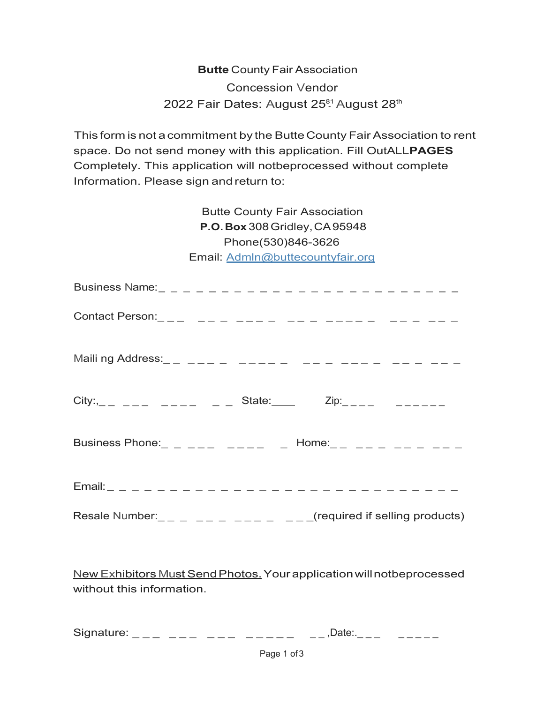**Butte** County Fair Association 2022 Fair Dates: August 25<sup>81</sup> August 28<sup>th</sup> Concession Vendor

This form is not a commitment by the ButteCounty Fair Association to rent space. Do not send money with this application. Fill OutALL**PAGES**  Completely. This application will notbeprocessed without complete Information. Please sign and return to:

> Butte County Fair Association **P.O.Box** 308Gridley,CA95948 Phone(530)846-3626 Email: [Admln@buttecountyfair.org](mailto:Admln@buttecountyfair.org)

| City: $\_{-\_$ $-- _{---}$ $_{---}$ $_{---}$ State: Zip: $\_{---}$ $_{---}$ $_{---}$         |  |
|----------------------------------------------------------------------------------------------|--|
| Business Phone: _ _ _ _ _ _ _ _ _ _ Home: _ _ _ _ _ _ _ _ _ _ _ _ _                          |  |
| $Email:$ $\begin{array}{cccccccccccccccccccccccccccccccccccccccccccccccccccccccc\end{array}$ |  |
| Resale Number: _ _ _ _ _ _ _ _ _ _ _ _ _ _ _ _ _ (required if selling products)              |  |

New Exhibitors Must Send Photos. Your application will notbeprocessed without this information.

Signature:  $\_{---}$   $\_{---}$   $\_{---}$   $\_{---}$   $\_{---}$   $\_{---}$   $\_{---}$   $\_{---}$   $\_{---}$   $\_{---}$   $\_{---}$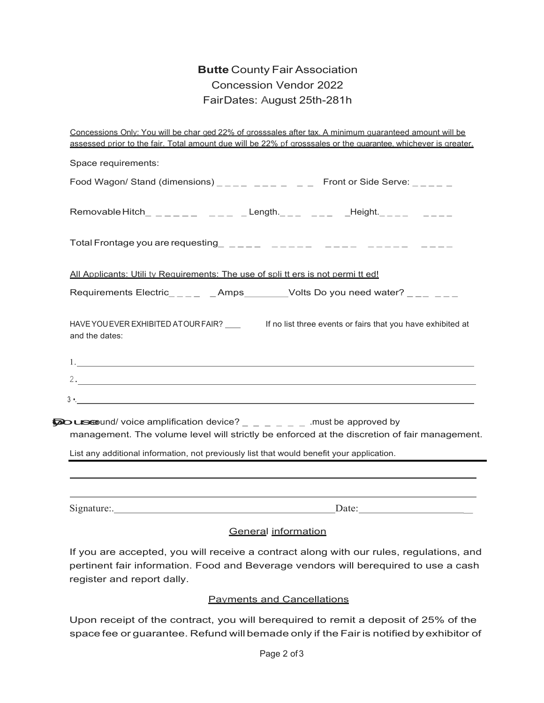## **Butte** County Fair Association Concession Vendor 2022 Fair Dates: August 25th-281h

|                                                                                                                                                                                                                          |                     | Concessions Only: You will be char ged 22% of grosssales after tax. A minimum guaranteed amount will be<br>assessed prior to the fair. Total amount due will be 22% pf grosssales or the quarantee, whichever is greater.                                                                                                |  |
|--------------------------------------------------------------------------------------------------------------------------------------------------------------------------------------------------------------------------|---------------------|--------------------------------------------------------------------------------------------------------------------------------------------------------------------------------------------------------------------------------------------------------------------------------------------------------------------------|--|
| Space requirements:                                                                                                                                                                                                      |                     |                                                                                                                                                                                                                                                                                                                          |  |
|                                                                                                                                                                                                                          |                     | Food Wagon/ Stand (dimensions) $\_{---}$ $\_{---}$ $\_{---}$ $\_{---}$ Front or Side Serve: $\_{---}$ $\_{---}$                                                                                                                                                                                                          |  |
|                                                                                                                                                                                                                          |                     | Removable Hitch_ _ _ _ _ _ _ _ _ _ _ Length._ _ _ _ _ _ _ _ _ Height._ _ _ _ _ _ _ _ _ _                                                                                                                                                                                                                                 |  |
|                                                                                                                                                                                                                          |                     | Total Frontage you are requesting $\qquad$ $\qquad$ $\qquad$ $\qquad$ $\qquad$ $\qquad$ $\qquad$ $\qquad$ $\qquad$ $\qquad$ $\qquad$ $\qquad$ $\qquad$ $\qquad$ $\qquad$ $\qquad$ $\qquad$ $\qquad$ $\qquad$ $\qquad$ $\qquad$ $\qquad$ $\qquad$ $\qquad$ $\qquad$ $\qquad$ $\qquad$ $\qquad$ $\qquad$ $\qquad$ $\qquad$ |  |
| All Applicants: Utili ty Requirements: The use of spli tt ers is not permi tt ed!                                                                                                                                        |                     |                                                                                                                                                                                                                                                                                                                          |  |
|                                                                                                                                                                                                                          |                     | Requirements Electric____ _Amps______Volts Do you need water? ___ __                                                                                                                                                                                                                                                     |  |
| and the dates:                                                                                                                                                                                                           |                     | HAVE YOU EVER EXHIBITED ATOUR FAIR? ___________ If no list three events or fairs that you have exhibited at                                                                                                                                                                                                              |  |
|                                                                                                                                                                                                                          |                     |                                                                                                                                                                                                                                                                                                                          |  |
|                                                                                                                                                                                                                          |                     |                                                                                                                                                                                                                                                                                                                          |  |
| $3 \cdot$                                                                                                                                                                                                                |                     |                                                                                                                                                                                                                                                                                                                          |  |
| $\bar{z}$ use und/ voice amplification device? $\frac{1}{z}$ $\frac{1}{z}$ $\frac{1}{z}$ $\frac{1}{z}$ .must be approved by<br>List any additional information, not previously list that would benefit your application. |                     | management. The volume level will strictly be enforced at the discretion of fair management.                                                                                                                                                                                                                             |  |
|                                                                                                                                                                                                                          |                     |                                                                                                                                                                                                                                                                                                                          |  |
|                                                                                                                                                                                                                          |                     |                                                                                                                                                                                                                                                                                                                          |  |
|                                                                                                                                                                                                                          | General information |                                                                                                                                                                                                                                                                                                                          |  |
| register and report dally.                                                                                                                                                                                               |                     | If you are accepted, you will receive a contract along with our rules, regulations, and<br>pertinent fair information. Food and Beverage vendors will berequired to use a cash                                                                                                                                           |  |

## Payments and Cancellations

Upon receipt of the contract, you will berequired to remit a deposit of 25% of the space fee or guarantee. Refund will bemade only if the Fair is notified byexhibitor of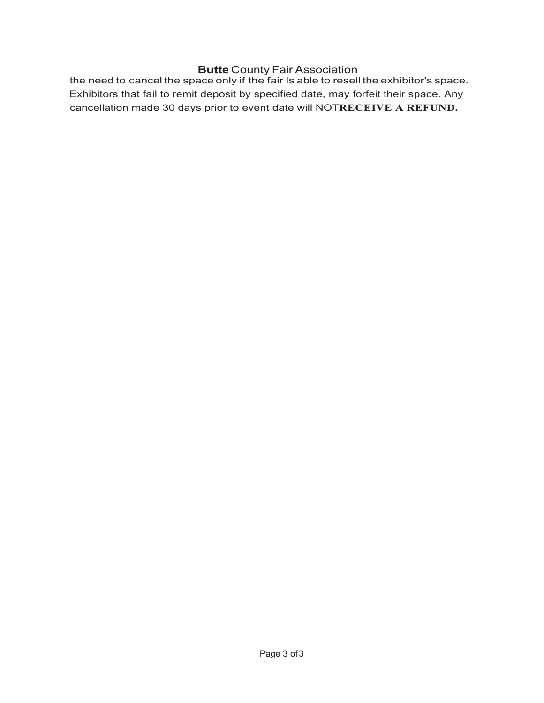## **Butte** County Fair Association

the need to cancel the space only if the fair Is able to resell the exhibitor's space. Exhibitors that fail to remit deposit by specified date, may forfeit their space. Any cancellation made 30 days prior to event date will NOT**RECEIVE A REFUND.**